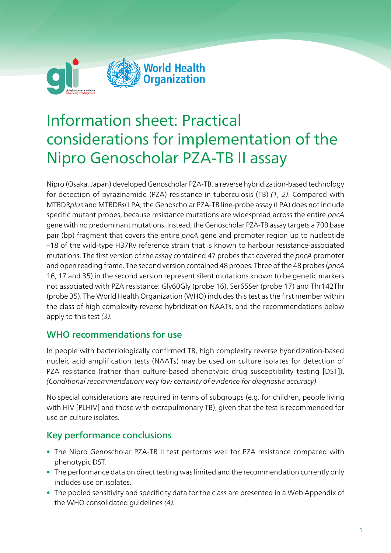

# Information sheet: Practical considerations for implementation of the Nipro Genoscholar PZA-TB II assay

Nipro (Osaka, Japan) developed Genoscholar PZA-TB, a reverse hybridization-based technology for detection of pyrazinamide (PZA) resistance in tuberculosis (TB) (1, 2). Compared with MTBDRplus and MTBDRsl LPA, the Genoscholar PZA-TB line-probe assay (LPA) does not include specific mutant probes, because resistance mutations are widespread across the entire pncA gene with no predominant mutations. Instead, the Genoscholar PZA-TB assay targets a 700 base pair (bp) fragment that covers the entire pncA gene and promoter region up to nucleotide –18 of the wild-type H37Rv reference strain that is known to harbour resistance-associated mutations. The first version of the assay contained 47 probes that covered the pncA promoter and open reading frame. The second version contained 48 probes. Three of the 48 probes (pncA 16, 17 and 35) in the second version represent silent mutations known to be genetic markers not associated with PZA resistance: Gly60Gly (probe 16), Ser65Ser (probe 17) and Thr142Thr (probe 35). The World Health Organization (WHO) includes this test as the first member within the class of high complexity reverse hybridization NAATs, and the recommendations below apply to this test (3).

# WHO recommendations for use

In people with bacteriologically confirmed TB, high complexity reverse hybridization-based nucleic acid amplification tests (NAATs) may be used on culture isolates for detection of PZA resistance (rather than culture-based phenotypic drug susceptibility testing [DST]). (Conditional recommendation; very low certainty of evidence for diagnostic accuracy)

No special considerations are required in terms of subgroups (e.g. for children, people living with HIV [PLHIV] and those with extrapulmonary TB), given that the test is recommended for use on culture isolates.

# Key performance conclusions

- The Nipro Genoscholar PZA-TB II test performs well for PZA resistance compared with phenotypic DST.
- The performance data on direct testing was limited and the recommendation currently only includes use on isolates.
- The pooled sensitivity and specificity data for the class are presented in a Web Appendix of the WHO consolidated guidelines (4).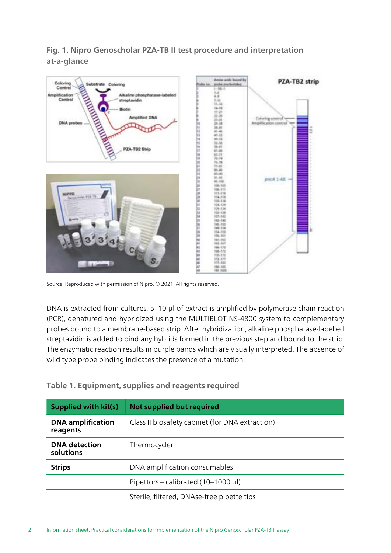## Fig. 1. Nipro Genoscholar PZA-TB II test procedure and interpretation at-a-glance



Source: Reproduced with permission of Nipro, © 2021. All rights reserved.

DNA is extracted from cultures, 5–10 µl of extract is amplified by polymerase chain reaction (PCR), denatured and hybridized using the MULTIBLOT NS-4800 system to complementary probes bound to a membrane-based strip. After hybridization, alkaline phosphatase-labelled streptavidin is added to bind any hybrids formed in the previous step and bound to the strip. The enzymatic reaction results in purple bands which are visually interpreted. The absence of wild type probe binding indicates the presence of a mutation.

#### Table 1. Equipment, supplies and reagents required

| Supplied with kit(s)                 | <b>Not supplied but required</b>                |
|--------------------------------------|-------------------------------------------------|
| <b>DNA</b> amplification<br>reagents | Class II biosafety cabinet (for DNA extraction) |
| <b>DNA</b> detection<br>solutions    | Thermocycler                                    |
| <b>Strips</b>                        | DNA amplification consumables                   |
|                                      | Pipettors – calibrated (10–1000 $\mu$ l)        |
|                                      | Sterile, filtered, DNAse-free pipette tips      |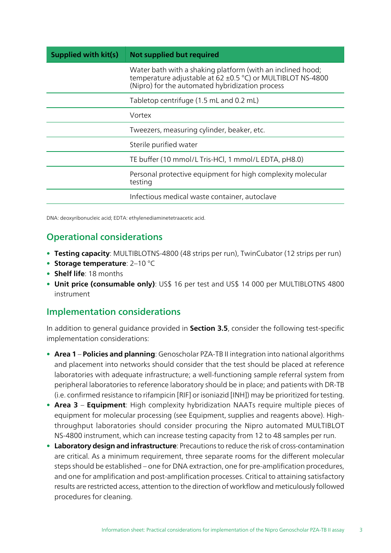| Supplied with kit(s) | Not supplied but required                                                                                                                                                   |
|----------------------|-----------------------------------------------------------------------------------------------------------------------------------------------------------------------------|
|                      | Water bath with a shaking platform (with an inclined hood;<br>temperature adjustable at 62 ±0.5 °C) or MULTIBLOT NS-4800<br>(Nipro) for the automated hybridization process |
|                      | Tabletop centrifuge (1.5 mL and 0.2 mL)                                                                                                                                     |
|                      | Vortex                                                                                                                                                                      |
|                      | Tweezers, measuring cylinder, beaker, etc.                                                                                                                                  |
|                      | Sterile purified water                                                                                                                                                      |
|                      | TE buffer (10 mmol/L Tris-HCl, 1 mmol/L EDTA, pH8.0)                                                                                                                        |
|                      | Personal protective equipment for high complexity molecular<br>testing                                                                                                      |
|                      | Infectious medical waste container, autoclave                                                                                                                               |

DNA: deoxyribonucleic acid; EDTA: ethylenediaminetetraacetic acid.

# Operational considerations

- Testing capacity: MULTIBLOTNS-4800 (48 strips per run), TwinCubator (12 strips per run)
- Storage temperature:  $2-10$  °C
- Shelf life: 18 months
- Unit price (consumable only): US\$ 16 per test and US\$ 14 000 per MULTIBLOTNS 4800 instrument

# Implementation considerations

In addition to general guidance provided in Section 3.5, consider the following test-specific implementation considerations:

- Area 1 Policies and planning: Genoscholar PZA-TB II integration into national algorithms and placement into networks should consider that the test should be placed at reference laboratories with adequate infrastructure; a well-functioning sample referral system from peripheral laboratories to reference laboratory should be in place; and patients with DR-TB (i.e. confirmed resistance to rifampicin [RIF] or isoniazid [INH]) may be prioritized fortesting.
- Area 3 Equipment: High complexity hybridization NAATs require multiple pieces of equipment for molecular processing (see Equipment, supplies and reagents above). Highthroughput laboratories should consider procuring the Nipro automated MULTIBLOT NS-4800 instrument, which can increase testing capacity from 12 to 48 samples per run.
- Laboratory design and infrastructure: Precautions to reduce the risk of cross-contamination are critical. As a minimum requirement, three separate rooms for the different molecular steps should be established – one for DNA extraction, one for pre-amplification procedures, and one for amplification and post-amplification processes. Critical to attaining satisfactory results are restricted access, attention to the direction of workflow and meticulously followed procedures for cleaning.